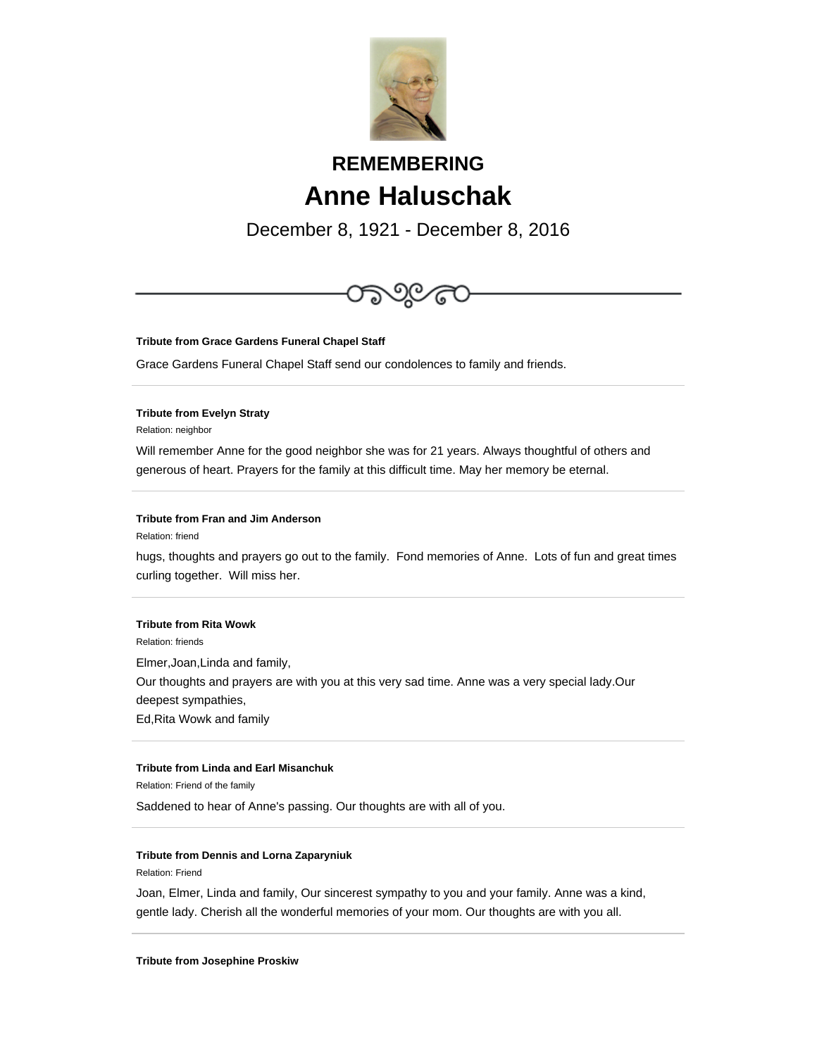

# **REMEMBERING Anne Haluschak**

December 8, 1921 - December 8, 2016



**Tribute from Grace Gardens Funeral Chapel Staff**

Grace Gardens Funeral Chapel Staff send our condolences to family and friends.

### **Tribute from Evelyn Straty**

Relation: neighbor

Will remember Anne for the good neighbor she was for 21 years. Always thoughtful of others and generous of heart. Prayers for the family at this difficult time. May her memory be eternal.

#### **Tribute from Fran and Jim Anderson**

Relation: friend

hugs, thoughts and prayers go out to the family. Fond memories of Anne. Lots of fun and great times curling together. Will miss her.

### **Tribute from Rita Wowk**

Relation: friends

Elmer,Joan,Linda and family, Our thoughts and prayers are with you at this very sad time. Anne was a very special lady.Our deepest sympathies, Ed,Rita Wowk and family

## **Tribute from Linda and Earl Misanchuk**

Relation: Friend of the family

Saddened to hear of Anne's passing. Our thoughts are with all of you.

#### **Tribute from Dennis and Lorna Zaparyniuk**

Relation: Friend

Joan, Elmer, Linda and family, Our sincerest sympathy to you and your family. Anne was a kind, gentle lady. Cherish all the wonderful memories of your mom. Our thoughts are with you all.